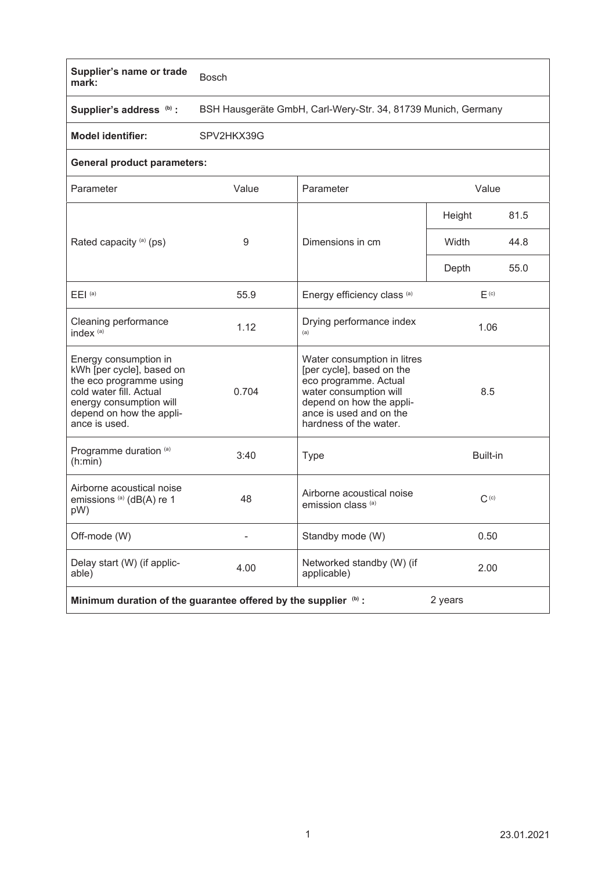## **Supplier's name or trade mark:** Bosch

**Supplier's address** 

**(b) :** BSH Hausgeräte GmbH, Carl-Wery-Str. 34, 81739 Munich, Germany

**Model identifier:** SPV2HKX39G

## **General product parameters:**

| Parameter                                                                                                                                                                        | Value | Parameter                                                                                                                                                                                    | Value            |      |
|----------------------------------------------------------------------------------------------------------------------------------------------------------------------------------|-------|----------------------------------------------------------------------------------------------------------------------------------------------------------------------------------------------|------------------|------|
|                                                                                                                                                                                  |       |                                                                                                                                                                                              | Height           | 81.5 |
| Rated capacity (a) (ps)                                                                                                                                                          | 9     | Dimensions in cm                                                                                                                                                                             | Width            | 44.8 |
|                                                                                                                                                                                  |       |                                                                                                                                                                                              | Depth            | 55.0 |
| $E EI^{(a)}$                                                                                                                                                                     | 55.9  | Energy efficiency class (a)                                                                                                                                                                  | F <sub>(c)</sub> |      |
| Cleaning performance<br>index <sup>(a)</sup>                                                                                                                                     | 1.12  | Drying performance index<br>(a)                                                                                                                                                              | 1.06             |      |
| Energy consumption in<br>kWh [per cycle], based on<br>the eco programme using<br>cold water fill. Actual<br>energy consumption will<br>depend on how the appli-<br>ance is used. | 0.704 | Water consumption in litres<br>[per cycle], based on the<br>eco programme. Actual<br>water consumption will<br>depend on how the appli-<br>ance is used and on the<br>hardness of the water. | 8.5              |      |
| Programme duration (a)<br>(h:min)                                                                                                                                                | 3:40  | <b>Type</b>                                                                                                                                                                                  | Built-in         |      |
| Airborne acoustical noise<br>emissions (a) (dB(A) re 1<br>pW)                                                                                                                    | 48    | Airborne acoustical noise<br>emission class <sup>(a)</sup>                                                                                                                                   | C <sub>(c)</sub> |      |
| Off-mode (W)                                                                                                                                                                     |       | Standby mode (W)                                                                                                                                                                             | 0.50             |      |
| Delay start (W) (if applic-<br>able)                                                                                                                                             | 4.00  | Networked standby (W) (if<br>applicable)                                                                                                                                                     | 2.00             |      |
| 2 years<br>Minimum duration of the guarantee offered by the supplier (b) :                                                                                                       |       |                                                                                                                                                                                              |                  |      |